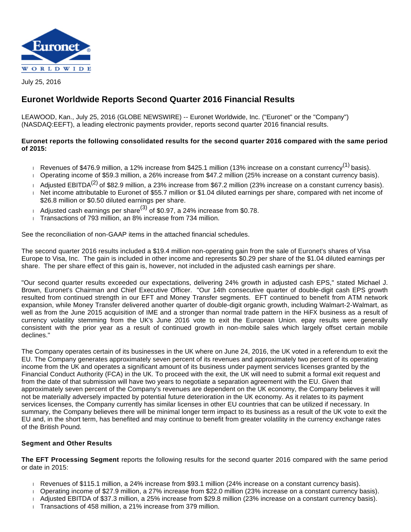

July 25, 2016

# **Euronet Worldwide Reports Second Quarter 2016 Financial Results**

LEAWOOD, Kan., July 25, 2016 (GLOBE NEWSWIRE) -- Euronet Worldwide, Inc. ("Euronet" or the "Company") (NASDAQ:EEFT), a leading electronic payments provider, reports second quarter 2016 financial results.

# **Euronet reports the following consolidated results for the second quarter 2016 compared with the same period of 2015:**

- Revenues of \$476.9 million, a 12% increase from \$425.1 million (13% increase on a constant currency<sup>(1)</sup> basis).
- Operating income of \$59.3 million, a 26% increase from \$47.2 million (25% increase on a constant currency basis).
- Adjusted EBITDA<sup>(2)</sup> of \$82.9 million, a 23% increase from \$67.2 million (23% increase on a constant currency basis). Net income attributable to Euronet of \$55.7 million or \$1.04 diluted earnings per share, compared with net income of \$26.8 million or \$0.50 diluted earnings per share.
- Adjusted cash earnings per share<sup>(3)</sup> of \$0.97, a 24% increase from \$0.78.
- Transactions of 793 million, an 8% increase from 734 million.

See the reconciliation of non-GAAP items in the attached financial schedules.

The second quarter 2016 results included a \$19.4 million non-operating gain from the sale of Euronet's shares of Visa Europe to Visa, Inc. The gain is included in other income and represents \$0.29 per share of the \$1.04 diluted earnings per share. The per share effect of this gain is, however, not included in the adjusted cash earnings per share.

"Our second quarter results exceeded our expectations, delivering 24% growth in adjusted cash EPS," stated Michael J. Brown, Euronet's Chairman and Chief Executive Officer. "Our 14th consecutive quarter of double-digit cash EPS growth resulted from continued strength in our EFT and Money Transfer segments. EFT continued to benefit from ATM network expansion, while Money Transfer delivered another quarter of double-digit organic growth, including Walmart-2-Walmart, as well as from the June 2015 acquisition of IME and a stronger than normal trade pattern in the HiFX business as a result of currency volatility stemming from the UK's June 2016 vote to exit the European Union. epay results were generally consistent with the prior year as a result of continued growth in non-mobile sales which largely offset certain mobile declines."

The Company operates certain of its businesses in the UK where on June 24, 2016, the UK voted in a referendum to exit the EU. The Company generates approximately seven percent of its revenues and approximately two percent of its operating income from the UK and operates a significant amount of its business under payment services licenses granted by the Financial Conduct Authority (FCA) in the UK. To proceed with the exit, the UK will need to submit a formal exit request and from the date of that submission will have two years to negotiate a separation agreement with the EU. Given that approximately seven percent of the Company's revenues are dependent on the UK economy, the Company believes it will not be materially adversely impacted by potential future deterioration in the UK economy. As it relates to its payment services licenses, the Company currently has similar licenses in other EU countries that can be utilized if necessary. In summary, the Company believes there will be minimal longer term impact to its business as a result of the UK vote to exit the EU and, in the short term, has benefited and may continue to benefit from greater volatility in the currency exchange rates of the British Pound.

# **Segment and Other Results**

**The EFT Processing Segment** reports the following results for the second quarter 2016 compared with the same period or date in 2015:

- Revenues of \$115.1 million, a 24% increase from \$93.1 million (24% increase on a constant currency basis).
- Operating income of \$27.9 million, a 27% increase from \$22.0 million (23% increase on a constant currency basis).
- Adjusted EBITDA of \$37.3 million, a 25% increase from \$29.8 million (23% increase on a constant currency basis).
- Transactions of 458 million, a 21% increase from 379 million.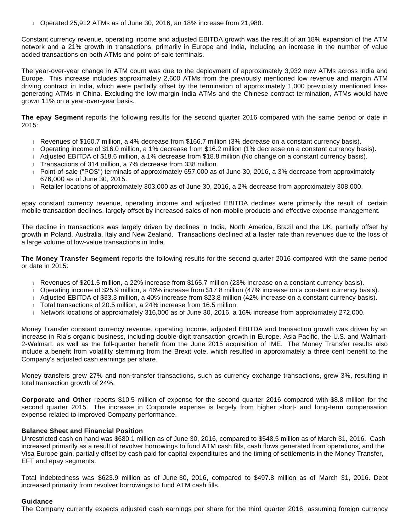Operated 25,912 ATMs as of June 30, 2016, an 18% increase from 21,980.

Constant currency revenue, operating income and adjusted EBITDA growth was the result of an 18% expansion of the ATM network and a 21% growth in transactions, primarily in Europe and India, including an increase in the number of value added transactions on both ATMs and point-of-sale terminals.

The year-over-year change in ATM count was due to the deployment of approximately 3,932 new ATMs across India and Europe. This increase includes approximately 2,600 ATMs from the previously mentioned low revenue and margin ATM driving contract in India, which were partially offset by the termination of approximately 1,000 previously mentioned lossgenerating ATMs in China. Excluding the low-margin India ATMs and the Chinese contract termination, ATMs would have grown 11% on a year-over-year basis.

**The epay Segment** reports the following results for the second quarter 2016 compared with the same period or date in 2015:

- Revenues of \$160.7 million, a 4% decrease from \$166.7 million (3% decrease on a constant currency basis).
- Operating income of \$16.0 million, a 1% decrease from \$16.2 million (1% decrease on a constant currency basis).
- Adjusted EBITDA of \$18.6 million, a 1% decrease from \$18.8 million (No change on a constant currency basis).
- Transactions of 314 million, a 7% decrease from 338 million.
- Point-of-sale ("POS") terminals of approximately 657,000 as of June 30, 2016, a 3% decrease from approximately 676,000 as of June 30, 2015.
- Retailer locations of approximately 303,000 as of June 30, 2016, a 2% decrease from approximately 308,000.

epay constant currency revenue, operating income and adjusted EBITDA declines were primarily the result of certain mobile transaction declines, largely offset by increased sales of non-mobile products and effective expense management.

The decline in transactions was largely driven by declines in India, North America, Brazil and the UK, partially offset by growth in Poland, Australia, Italy and New Zealand. Transactions declined at a faster rate than revenues due to the loss of a large volume of low-value transactions in India.

**The Money Transfer Segment** reports the following results for the second quarter 2016 compared with the same period or date in 2015:

- Revenues of \$201.5 million, a 22% increase from \$165.7 million (23% increase on a constant currency basis).
- Operating income of \$25.9 million, a 46% increase from \$17.8 million (47% increase on a constant currency basis).
- Adjusted EBITDA of \$33.3 million, a 40% increase from \$23.8 million (42% increase on a constant currency basis).
- Total transactions of 20.5 million, a 24% increase from 16.5 million.
- Network locations of approximately  $316,000$  as of June 30, 2016, a 16% increase from approximately 272,000.

Money Transfer constant currency revenue, operating income, adjusted EBITDA and transaction growth was driven by an increase in Ria's organic business, including double-digit transaction growth in Europe, Asia Pacific, the U.S. and Walmart-2-Walmart, as well as the full-quarter benefit from the June 2015 acquisition of IME. The Money Transfer results also include a benefit from volatility stemming from the Brexit vote, which resulted in approximately a three cent benefit to the Company's adjusted cash earnings per share.

Money transfers grew 27% and non-transfer transactions, such as currency exchange transactions, grew 3%, resulting in total transaction growth of 24%.

**Corporate and Other** reports \$10.5 million of expense for the second quarter 2016 compared with \$8.8 million for the second quarter 2015. The increase in Corporate expense is largely from higher short- and long-term compensation expense related to improved Company performance.

## **Balance Sheet and Financial Position**

Unrestricted cash on hand was \$680.1 million as of June 30, 2016, compared to \$548.5 million as of March 31, 2016. Cash increased primarily as a result of revolver borrowings to fund ATM cash fills, cash flows generated from operations, and the Visa Europe gain, partially offset by cash paid for capital expenditures and the timing of settlements in the Money Transfer, EFT and epay segments.

Total indebtedness was \$623.9 million as of June 30, 2016, compared to \$497.8 million as of March 31, 2016. Debt increased primarily from revolver borrowings to fund ATM cash fills.

#### **Guidance**

The Company currently expects adjusted cash earnings per share for the third quarter 2016, assuming foreign currency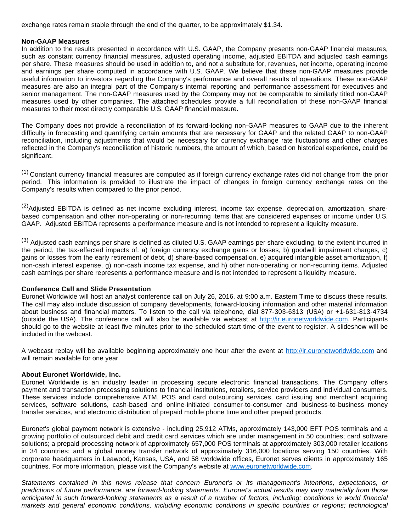exchange rates remain stable through the end of the quarter, to be approximately \$1.34.

#### **Non-GAAP Measures**

In addition to the results presented in accordance with U.S. GAAP, the Company presents non-GAAP financial measures, such as constant currency financial measures, adjusted operating income, adjusted EBITDA and adjusted cash earnings per share. These measures should be used in addition to, and not a substitute for, revenues, net income, operating income and earnings per share computed in accordance with U.S. GAAP. We believe that these non-GAAP measures provide useful information to investors regarding the Company's performance and overall results of operations. These non-GAAP measures are also an integral part of the Company's internal reporting and performance assessment for executives and senior management. The non-GAAP measures used by the Company may not be comparable to similarly titled non-GAAP measures used by other companies. The attached schedules provide a full reconciliation of these non-GAAP financial measures to their most directly comparable U.S. GAAP financial measure.

The Company does not provide a reconciliation of its forward-looking non-GAAP measures to GAAP due to the inherent difficulty in forecasting and quantifying certain amounts that are necessary for GAAP and the related GAAP to non-GAAP reconciliation, including adjustments that would be necessary for currency exchange rate fluctuations and other charges reflected in the Company's reconciliation of historic numbers, the amount of which, based on historical experience, could be significant.

(1) Constant currency financial measures are computed as if foreign currency exchange rates did not change from the prior period. This information is provided to illustrate the impact of changes in foreign currency exchange rates on the Company's results when compared to the prior period.

(2)Adjusted EBITDA is defined as net income excluding interest, income tax expense, depreciation, amortization, sharebased compensation and other non-operating or non-recurring items that are considered expenses or income under U.S. GAAP. Adjusted EBITDA represents a performance measure and is not intended to represent a liquidity measure.

(3) Adiusted cash earnings per share is defined as diluted U.S. GAAP earnings per share excluding, to the extent incurred in the period, the tax-effected impacts of: a) foreign currency exchange gains or losses, b) goodwill impairment charges, c) gains or losses from the early retirement of debt, d) share-based compensation, e) acquired intangible asset amortization, f) non-cash interest expense, g) non-cash income tax expense, and h) other non-operating or non-recurring items. Adjusted cash earnings per share represents a performance measure and is not intended to represent a liquidity measure.

## **Conference Call and Slide Presentation**

Euronet Worldwide will host an analyst conference call on July 26, 2016, at 9:00 a.m. Eastern Time to discuss these results. The call may also include discussion of company developments, forward-looking information and other material information about business and financial matters. To listen to the call via telephone, dial 877-303-6313 (USA) or +1-631-813-4734 (outside the USA). The conference call will also be available via webcast at [http://ir.euronetworldwide.com](http://ir.euronetworldwide.com/). Participants should go to the website at least five minutes prior to the scheduled start time of the event to register. A slideshow will be included in the webcast.

A webcast replay will be available beginning approximately one hour after the event at [http://ir.euronetworldwide.com](http://ir.euronetworldwide.com/) and will remain available for one year.

## **About Euronet Worldwide, Inc.**

Euronet Worldwide is an industry leader in processing secure electronic financial transactions. The Company offers payment and transaction processing solutions to financial institutions, retailers, service providers and individual consumers. These services include comprehensive ATM, POS and card outsourcing services, card issuing and merchant acquiring services, software solutions, cash-based and online-initiated consumer-to-consumer and business-to-business money transfer services, and electronic distribution of prepaid mobile phone time and other prepaid products.

Euronet's global payment network is extensive - including 25,912 ATMs, approximately 143,000 EFT POS terminals and a growing portfolio of outsourced debit and credit card services which are under management in 50 countries; card software solutions; a prepaid processing network of approximately 657,000 POS terminals at approximately 303,000 retailer locations in 34 countries; and a global money transfer network of approximately 316,000 locations serving 150 countries. With corporate headquarters in Leawood, Kansas, USA, and 58 worldwide offices, Euronet serves clients in approximately 165 countries. For more information, please visit the Company's website at [www.euronetworldwide.com](http://www.euronetworldwide.com/).

Statements contained in this news release that concern Euronet's or its management's intentions, expectations, or predictions of future performance, are forward-looking statements. Euronet's actual results may vary materially from those anticipated in such forward-looking statements as a result of a number of factors, including: conditions in world financial markets and general economic conditions, including economic conditions in specific countries or regions; technological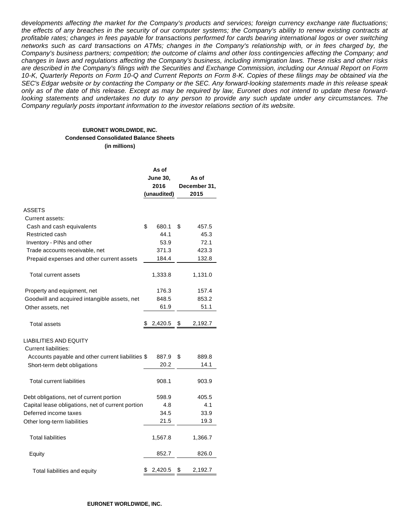developments affecting the market for the Company's products and services; foreign currency exchange rate fluctuations; the effects of any breaches in the security of our computer systems; the Company's ability to renew existing contracts at profitable rates; changes in fees payable for transactions performed for cards bearing international logos or over switching networks such as card transactions on ATMs; changes in the Company's relationship with, or in fees charged by, the Company's business partners; competition; the outcome of claims and other loss contingencies affecting the Company; and changes in laws and regulations affecting the Company's business, including immigration laws. These risks and other risks are described in the Company's filings with the Securities and Exchange Commission, including our Annual Report on Form 10-K, Quarterly Reports on Form 10-Q and Current Reports on Form 8-K. Copies of these filings may be obtained via the SEC's Edgar website or by contacting the Company or the SEC. Any forward-looking statements made in this release speak only as of the date of this release. Except as may be required by law, Euronet does not intend to update these forwardlooking statements and undertakes no duty to any person to provide any such update under any circumstances. The Company regularly posts important information to the investor relations section of its website.

#### **EURONET WORLDWIDE, INC. Condensed Consolidated Balance Sheets (in millions)**

|                                                   |    | As of<br><b>June 30.</b><br>2016<br>(unaudited) | As of<br>December 31,<br>2015 |         |  |  |
|---------------------------------------------------|----|-------------------------------------------------|-------------------------------|---------|--|--|
| <b>ASSETS</b>                                     |    |                                                 |                               |         |  |  |
| Current assets:                                   |    |                                                 |                               |         |  |  |
| Cash and cash equivalents                         | \$ | 680.1                                           | \$                            | 457.5   |  |  |
| Restricted cash                                   |    | 44.1                                            |                               | 45.3    |  |  |
| Inventory - PINs and other                        |    | 53.9                                            |                               | 72.1    |  |  |
| Trade accounts receivable, net                    |    | 371.3                                           |                               | 423.3   |  |  |
| Prepaid expenses and other current assets         |    | 184.4                                           |                               | 132.8   |  |  |
| Total current assets                              |    | 1,333.8                                         |                               | 1,131.0 |  |  |
| Property and equipment, net                       |    | 176.3                                           |                               | 157.4   |  |  |
| Goodwill and acquired intangible assets, net      |    | 848.5                                           |                               | 853.2   |  |  |
| Other assets, net                                 |    | 61.9                                            |                               | 51.1    |  |  |
| <b>Total assets</b>                               | S  | 2,420.5                                         | \$                            | 2,192.7 |  |  |
| <b>LIABILITIES AND EQUITY</b>                     |    |                                                 |                               |         |  |  |
| Current liabilities:                              |    |                                                 |                               |         |  |  |
| Accounts payable and other current liabilities \$ |    | 887.9                                           | \$                            | 889.8   |  |  |
| Short-term debt obligations                       |    | 20.2                                            |                               | 14.1    |  |  |
| <b>Total current liabilities</b>                  |    | 908.1                                           |                               | 903.9   |  |  |
| Debt obligations, net of current portion          |    | 598.9                                           |                               | 405.5   |  |  |
| Capital lease obligations, net of current portion |    | 4.8                                             |                               | 4.1     |  |  |
| Deferred income taxes                             |    | 34.5                                            |                               | 33.9    |  |  |
| Other long-term liabilities                       |    | 21.5                                            |                               | 19.3    |  |  |
| <b>Total liabilities</b>                          |    | 1,567.8                                         |                               | 1,366.7 |  |  |
| Equity                                            |    | 852.7                                           |                               | 826.0   |  |  |
| Total liabilities and equity                      | \$ | 2,420.5                                         | \$                            | 2,192.7 |  |  |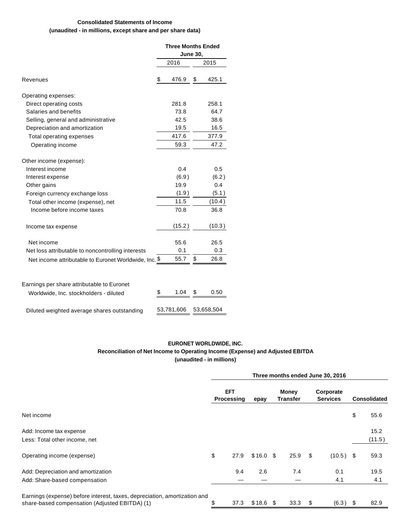# **Consolidated Statements of Income (unaudited - in millions, except share and per share data)**

|                                                       | <b>Three Months Ended</b><br><b>June 30,</b> |    |            |  |  |  |
|-------------------------------------------------------|----------------------------------------------|----|------------|--|--|--|
|                                                       | 2016                                         |    | 2015       |  |  |  |
| Revenues                                              | \$<br>476.9                                  | \$ | 425.1      |  |  |  |
| Operating expenses:                                   |                                              |    |            |  |  |  |
| Direct operating costs                                | 281.8                                        |    | 258.1      |  |  |  |
| Salaries and benefits                                 | 73.8                                         |    | 64.7       |  |  |  |
| Selling, general and administrative                   | 42.5                                         |    | 38.6       |  |  |  |
| Depreciation and amortization                         | 19.5                                         |    | 16.5       |  |  |  |
| Total operating expenses                              | 417.6                                        |    | 377.9      |  |  |  |
| Operating income                                      | 59.3                                         |    | 47.2       |  |  |  |
| Other income (expense):                               |                                              |    |            |  |  |  |
| Interest income                                       | 0.4                                          |    | 0.5        |  |  |  |
| Interest expense                                      | (6.9)                                        |    | (6.2)      |  |  |  |
| Other gains                                           | 19.9                                         |    | 0.4        |  |  |  |
| Foreign currency exchange loss                        | (1.9)                                        |    | (5.1)      |  |  |  |
| Total other income (expense), net                     | 11.5                                         |    | (10.4)     |  |  |  |
| Income before income taxes                            | 70.8                                         |    | 36.8       |  |  |  |
| Income tax expense                                    | (15.2)                                       |    | (10.3)     |  |  |  |
| Net income                                            | 55.6                                         |    | 26.5       |  |  |  |
| Net loss attributable to noncontrolling interests     | 0.1                                          |    | 0.3        |  |  |  |
| Net income attributable to Euronet Worldwide, Inc. \$ | 55.7                                         | \$ | 26.8       |  |  |  |
| Earnings per share attributable to Euronet            |                                              |    |            |  |  |  |
| Worldwide, Inc. stockholders - diluted                | \$<br>1.04                                   | \$ | 0.50       |  |  |  |
| Diluted weighted average shares outstanding           | 53,781,606                                   |    | 53,658,504 |  |  |  |

## **EURONET WORLDWIDE, INC. Reconciliation of Net Income to Operating Income (Expense) and Adjusted EBITDA (unaudited - in millions)**

|                                                                                                                             | Three months ended June 30, 2016 |                                 |            |                          |      |                              |             |                     |                |
|-----------------------------------------------------------------------------------------------------------------------------|----------------------------------|---------------------------------|------------|--------------------------|------|------------------------------|-------------|---------------------|----------------|
|                                                                                                                             |                                  | <b>EFT</b><br><b>Processing</b> |            | <b>Money</b><br>Transfer |      | Corporate<br><b>Services</b> |             | <b>Consolidated</b> |                |
| Net income                                                                                                                  |                                  |                                 |            |                          |      |                              |             | \$                  | 55.6           |
| Add: Income tax expense<br>Less: Total other income, net                                                                    |                                  |                                 |            |                          |      |                              |             |                     | 15.2<br>(11.5) |
| Operating income (expense)                                                                                                  | \$                               | 27.9                            | \$16.0     | - \$                     | 25.9 | \$                           | $(10.5)$ \$ |                     | 59.3           |
| Add: Depreciation and amortization<br>Add: Share-based compensation                                                         |                                  | 9.4                             | 2.6        |                          | 7.4  |                              | 0.1<br>4.1  |                     | 19.5<br>4.1    |
| Earnings (expense) before interest, taxes, depreciation, amortization and<br>share-based compensation (Adjusted EBITDA) (1) | \$                               | 37.3                            | $$18.6$ \$ |                          | 33.3 | - \$                         | (6.3)       | - \$                | 82.9           |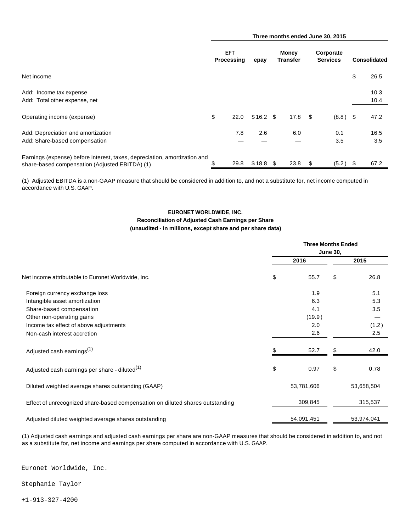|                                                                           | Three months ended June 30, 2015 |                                 |            |                          |      |                              |            |                     |      |
|---------------------------------------------------------------------------|----------------------------------|---------------------------------|------------|--------------------------|------|------------------------------|------------|---------------------|------|
|                                                                           |                                  | <b>EFT</b><br><b>Processing</b> |            | <b>Money</b><br>Transfer |      | Corporate<br><b>Services</b> |            | <b>Consolidated</b> |      |
| Net income                                                                |                                  |                                 |            |                          |      |                              |            | \$                  | 26.5 |
| Add: Income tax expense                                                   |                                  |                                 |            |                          |      |                              |            |                     | 10.3 |
| Add: Total other expense, net                                             |                                  |                                 |            |                          |      |                              |            |                     | 10.4 |
| Operating income (expense)                                                | \$                               | 22.0                            | $$16.2$ \$ |                          | 17.8 | - \$                         | $(8.8)$ \$ |                     | 47.2 |
| Add: Depreciation and amortization                                        |                                  | 7.8                             | 2.6        |                          | 6.0  |                              | 0.1        |                     | 16.5 |
| Add: Share-based compensation                                             |                                  |                                 |            |                          |      |                              | 3.5        |                     | 3.5  |
| Earnings (expense) before interest, taxes, depreciation, amortization and | \$                               | 29.8                            | $$18.8$ \$ |                          | 23.8 | S                            | (5.2)      | -S                  | 67.2 |
| share-based compensation (Adjusted EBITDA) (1)                            |                                  |                                 |            |                          |      |                              |            |                     |      |

(1) Adjusted EBITDA is a non-GAAP measure that should be considered in addition to, and not a substitute for, net income computed in accordance with U.S. GAAP.

## **EURONET WORLDWIDE, INC. Reconciliation of Adjusted Cash Earnings per Share (unaudited - in millions, except share and per share data)**

|                                                                               | <b>Three Months Ended</b><br><b>June 30,</b> |            |    |            |  |
|-------------------------------------------------------------------------------|----------------------------------------------|------------|----|------------|--|
|                                                                               |                                              | 2016       |    | 2015       |  |
| Net income attributable to Euronet Worldwide, Inc.                            | \$                                           | 55.7       | \$ | 26.8       |  |
| Foreign currency exchange loss                                                |                                              | 1.9        |    | 5.1        |  |
| Intangible asset amortization                                                 |                                              | 6.3        |    | 5.3        |  |
| Share-based compensation                                                      |                                              | 4.1        |    | 3.5        |  |
| Other non-operating gains                                                     |                                              | (19.9)     |    |            |  |
| Income tax effect of above adjustments                                        |                                              | 2.0        |    | (1.2)      |  |
| Non-cash interest accretion                                                   |                                              | 2.6        |    | 2.5        |  |
| Adjusted cash earnings <sup>(1)</sup>                                         |                                              | 52.7       |    | 42.0       |  |
| Adjusted cash earnings per share - diluted <sup>(1)</sup>                     |                                              | 0.97       | \$ | 0.78       |  |
| Diluted weighted average shares outstanding (GAAP)                            |                                              | 53,781,606 |    | 53,658,504 |  |
| Effect of unrecognized share-based compensation on diluted shares outstanding |                                              | 309,845    |    | 315,537    |  |
| Adjusted diluted weighted average shares outstanding                          |                                              | 54,091,451 |    | 53,974,041 |  |

(1) Adjusted cash earnings and adjusted cash earnings per share are non-GAAP measures that should be considered in addition to, and not as a substitute for, net income and earnings per share computed in accordance with U.S. GAAP.

Euronet Worldwide, Inc.

Stephanie Taylor

+1-913-327-4200